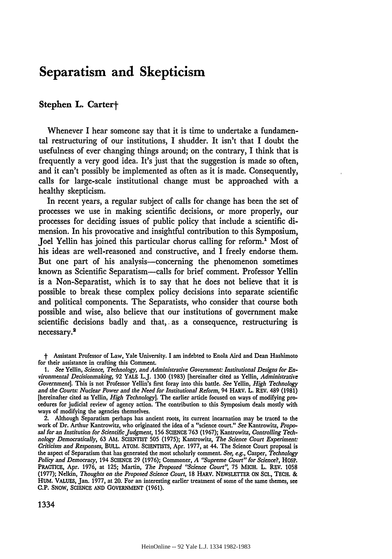## **Separatism and Skepticism**

## Stephen L. Carter+

Whenever I hear someone say that it is time to undertake a fundamental restructuring of our institutions, **I** shudder. It isn't that I doubt the usefulness of ever changing things around; on the contrary, I think that is frequently a very good idea. It's just that the suggestion is made so often, and it can't possibly be implemented as often as it is made. Consequently, calls for large-scale institutional change must be approached with a healthy skepticism.

In recent years, a regular subject of calls for change has been the set of processes we use in making scientific decisions, or more properly, our processes for deciding issues of public policy that include a scientific dimension. In his provocative and insightful contribution to this Symposium, Joel Yellin has joined this particular chorus calling for reform." Most of his ideas are well-reasoned and constructive, and I freely endorse them. But one part of his analysis—concerning the phenomenon sometimes known as Scientific Separatism-calls for brief comment. Professor Yellin is a Non-Separatist, which is to say that he does not believe that it is possible to break these complex policy decisions into separate scientific and political components. The Separatists, who consider that course both possible and wise, also believe that our institutions of government make scientific decisions badly and that, as a consequence, restructuring is necessary.2

2. Although Separatism perhaps has ancient roots, its current incarnation may be traced to the work of Dr. Arthur Kantrowitz, who originated the idea of a "science court." *See* Kantrowitz, *Proposal for an Institution for Scientific Judgment,* **156 SCIENCE 763 (1967);** Kantrowitz, *Controlling Technology Democratically,* **63 AM.** SCIENTIST **505** (1975); Kantrowitz, *The Science Court Experiment: Criticism and Responses,* BULL. ATOM. SCIENTISTS, Apr. 1977, at 44. The Science Court proposal is the aspect of Separatism that has generated the most scholarly comment. *See, e.g.,* Casper, *Technology Policy and Democracy,* 194 **SCIENCE** 29 (1976); Commoner, *A "Supreme Court" for Science?,* HOSP. PRACTICE, Apr. **1976,** at 125; Martin, *The Proposed "Science Court",* 75 MICH. L. REV. 1058 (1977); Nelkin, *Thoughts on the Proposed Science Court,* **18** HARV. NEWSLETTER **ON SC.,** TECH. **& HUM.** VALUES, Jan. 1977, at 20. For an interesting earlier treatment of some of the same themes, see **C.P.** SNOW, SCIENCE **AND** GOVERNMENT (1961).

t Assistant Professor of Law, Yale University. I am indebted to Enola Aird and Dean Hashimoto for their assistance in crafting this Comment.

*<sup>1.</sup> See* Yellin, *Science, Technology, and Administrative Government. Institutional Designs for Environmental Decisionmaking,* **92** YALE L.J. **1300 (1983)** [hereinafter cited as Yellin, *Administrative Government].* This is not Professor Yellin's first foray into this battle. *See* Yellin, *High Technology and the Courts: Nuclear Power and the Need for Institutional Reform,* 94 HARV. L. REV. 489 **(1981)** [hereinafter cited as Yellin, *High Technology].* The earlier article focused on ways of modifying procedures for judicial review of agency action. The contribution to this Symposium deals mostly with ways of modifying the agencies themselves.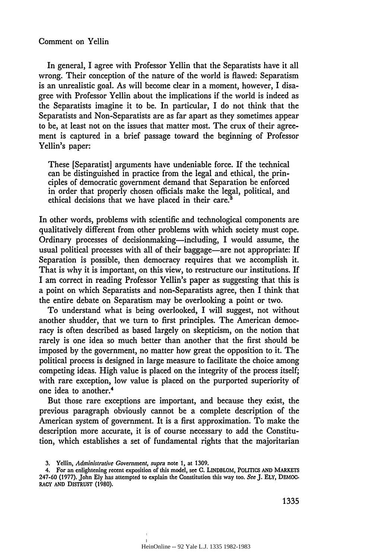## Comment on Yellin

In general, I agree with Professor Yellin that the Separatists have it all wrong. Their conception of the nature of the world is flawed: Separatism is an unrealistic goal. As will become clear in a moment, however, I disagree with Professor Yellin about the implications if the world is indeed as the Separatists imagine it to be. In particular, I do not think that the Separatists and Non-Separatists are as far apart as they sometimes appear to be, at least not on the issues that matter most. The crux of their agreement is captured in a brief passage toward the beginning of Professor Yellin's paper:

These [Separatist] arguments have undeniable force. If the technical can be distinguished in practice from the legal and ethical, the principles of democratic government demand that Separation be enforced in order that properly chosen officials make the legal, political, and ethical decisions that we have placed in their care.<sup>3</sup>

In other words, problems with scientific and technological components are qualitatively different from other problems with which society must cope. Ordinary processes of decisionmaking—including, I would assume, the usual political processes with all of their baggage—are not appropriate: If Separation is possible, then democracy requires that we accomplish it. That is why it is important, on this view, to restructure our institutions. If I am correct in reading Professor Yellin's paper as suggesting that this is a point on which Separatists and non-Separatists agree, then I think that the entire debate on Separatism may be overlooking a point or two.

To understand what is being overlooked, I will suggest, not without another shudder, that we turn to first principles. The American democracy is often described as based largely on skepticism, on the notion that rarely is one idea so much better than another that the first should be imposed by the government, no matter how great the opposition to it. The political process is designed in large measure to facilitate the choice among competing ideas. High value is placed on the integrity of the process itself; with rare exception, low value is placed on the purported superiority of one idea to another.4

But those rare exceptions are important, and because they exist, the previous paragraph obviously cannot be a complete description of the American system of government. It is a first approximation. To make the description more accurate, it is of course necessary to add the Constitution, which establishes a set of fundamental rights that the majoritarian

**<sup>3.</sup>** Yellin, *Administrative Government, supra* note 1, at **1309.**

<sup>4.</sup> For an enlightening recent exposition of this model, see **C.** LINDBLOM, **POLITICS AND** MARKETS 247-60 **(1977).** John **Ely** has attempted to explain the Constitution this way too. *See* **J. ELY,** DEMOC. **RACY AND DISTRUST** (1980).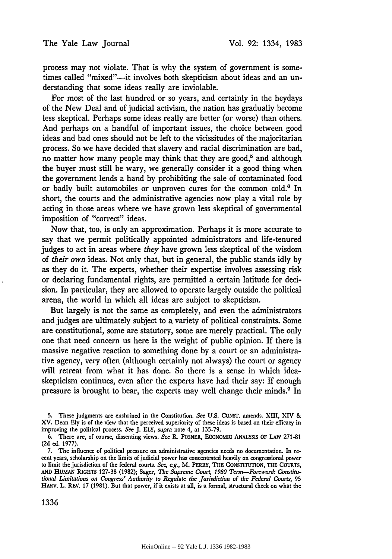process may not violate. That is why the system of government is sometimes called "mixed"--it involves both skepticism about ideas and an understanding that some ideas really are inviolable.

For most of the last hundred or so years, and certainly in the heydays of the New Deal and of judicial activism, the nation has gradually become less skeptical. Perhaps some ideas really are better (or worse) than others. And perhaps on a handful of important issues, the choice between good ideas and bad ones should not be left to the vicissitudes of the majoritarian process. So we have decided that slavery and racial discrimination are bad, no matter how many people may think that they are good,<sup>5</sup> and although the buyer must still be wary, we generally consider it a good thing when the government lends a hand by prohibiting the sale of contaminated food or badly built automobiles or unproven cures for the common cold.<sup>6</sup> In short, the courts and the administrative agencies now play a vital role by acting in those areas where we have grown less skeptical of governmental imposition of "correct" ideas.

Now that, too, is only an approximation. Perhaps it is more accurate to say that we permit politically appointed administrators and life-tenured judges to act in areas where *they* have grown less skeptical of the wisdom of *their own* ideas. Not only that, but in general, the public stands idly by as they do it. The experts, whether their expertise involves assessing risk or declaring fundamental rights, are permitted a certain latitude for decision. In particular, they are allowed to operate largely outside the political arena, the world in which all ideas are subject to skepticism.

But largely is not the same as completely, and even the administrators and judges are ultimately subject to a variety of political constraints. Some are constitutional, some are statutory, some are merely practical. The only one that need concern us here is the weight of public opinion. If there is massive negative reaction to something done by a court or an administrative agency, very often (although certainly not always) the court or agency will retreat from what it has done. So there is a sense in which ideaskepticism continues, even after the experts have had their say: If enough pressure is brought to bear, the experts may well change their minds.7 In

**<sup>5.</sup>** These judgments are enshrined in the Constitution. See **U.S. CONST.** amends. XIII, XIV & XV. Dean **Ely** is of the view that the perceived superiority of these ideas is based on their efficacy in improving the political process. See J. ELY, *supra* note 4, at 135-79.

<sup>6.</sup> There are, of course, dissenting views. *See* R. POSNER, ECONOMIC ANALYSIS OF LAW 271-81 **(2d** ed. 1977).

<sup>7.</sup> The influence of political pressure on administrative agencies needs no documentation. In recent years, scholarship on the limits of judicial power has concentrated heavily on congressional power to limit the jurisdiction of the federal courts. *See, e.g.,* M. PERRY, THE CONSTITUTION, THE COURTS, **AND** HUMAN RIGHTS 127-38 (1982); Sager, *The Supreme Court, 1980 Term-Foreword: Constitutional Limitations on Congress' Authority to Regulate the Jurisdiction of the Federal Courts,* 95 HARV. L. REV. 17 (1981). But that power, if it exists at all, is a formal, structural check on what the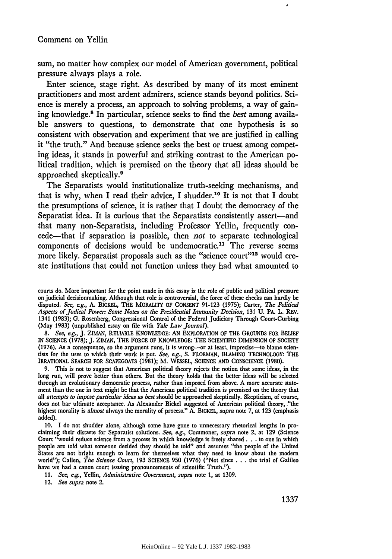sum, no matter how complex our model of American government, political pressure always plays a role.

Enter science, stage right. As described by many of its most eminent practitioners and most ardent admirers, science stands beyond politics. Science is merely a process, an approach to solving problems, a way of gaining knowledge.' In particular, science seeks to find the *best* among available answers to questions, to demonstrate that one hypothesis is so consistent with observation and experiment that we are justified in calling it "the truth." And because science seeks the best or truest among competing ideas, it stands in powerful and striking contrast to the American political tradition, which is premised on the theory that all ideas should be approached skeptically. <sup>9</sup>

The Separatists would institutionalize truth-seeking mechanisms, and that is why, when I read their advice, I shudder.10 It is not that I doubt the presumptions of science, it is rather that I doubt the democracy of the Separatist idea. It is curious that the Separatists consistently assert-and that many non-Separatists, including Professor Yellin, frequently concede-that if separation is possible, then *not* to separate technological components of decisions would be undemocratic.<sup>11</sup> The reverse seems more likely. Separatist proposals such as the "science court"<sup>12</sup> would create institutions that could not function unless they had what amounted to

courts do. More important for the point made in this essay is the role of public and political pressure on judicial decisionmaking. Although that role is controversial, the force of these checks can hardly be disputed. *See, e.g.,* **A.** BICKEL, THE MORALITY OF **CONSENT 91-123 (1975);** Carter, *The Political Aspects of Judical Power: Some Notes on the Presidential Immunity Decision,* **131 U.** PA. L. REV. 1341 **(1983); G.** Rosenberg, Congressional Control **of** the Federal Judiciary Through Court-Curbing (May **1983)** (unpublished essay on file with *Yale Law Journal).*

*8. See, e.g.,* **J.** ZIMAN, RELIABLE KNOWLEDGE: AN EXPLORATION OF THE **GROUNDS** FOR BELIEF IN **SCIENCE** (1978); **J.** ZIMAN, THE FORCE OF KNOWLEDGE: **THE** SCIENTIFIC DIMENSION OF SOCIETY (1976). As a consequence, so the argument runs, it is wrong-or at least, imprecise-to blame scientists for the uses to which their work is put. *See, e.g.,* S. FLORMAN, BLAMING TECHNOLOGY: THE IRRATIONAL SEARCH FOR **SCAPEGOATS** (1981); M. **WESSEL,** SCIENCE AND CONSCIENCE **(1980).**

**9.** This is not to suggest that American political theory rejects the notion that some ideas, in the long run, will prove better than others. But the theory holds that the better ideas will be selected through an evolutionary democratic process, rather than imposed from above. A more accurate statement than the one in text might be that the American political tradition is premised on the theory that all *attempts to impose particular ideas as best* should be approached skeptically. Skepticism, of course, does not bar ultimate acceptance. As Alexander Bickel suggested of American political theory, ."the highest morality is *almost* always the morality of process." A. BICKEL, *supra* note 7, at **123** (emphasis added).

**10.** I do not shudder alone, although some have gone to unnecessary rhetorical lengths in proclaiming their distaste for Separatist solutions. *See, e.g.,* Commoner, *supra* note 2, at **129** (Science Court "would reduce science from a process in which knowledge is freely shared. **. .** to one in which people are told what someone decided they should be told" and assumes "the people of the United States are not bright enough to learn for themselves what they need to know about the modern world"); Callen, *The Science Court,* **193 SCIENCE** 950 (1976) ("Not since **. . .** the trial of Galileo have we had a canon court issuing pronouncements of scientific Truth.").

**11.** *See, e.g.,* Yellin, *Administrative Government, supra* note **1,** at **1309.**

12. *See supra* note 2.

1337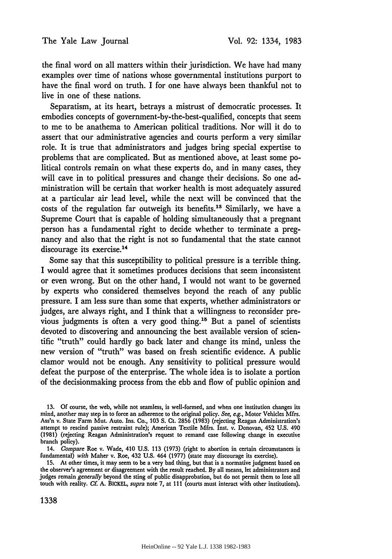the final word on all matters within their jurisdiction. We have had many examples over time of nations whose governmental institutions purport to have the final word on truth. I for one have always been thankful not to live in one of these nations.

Separatism, at its heart, betrays a mistrust of democratic processes. It embodies concepts of government-by-the-best-qualified, concepts that seem to me to be anathema to American political traditions. Nor will it do to assert that our administrative agencies and courts perform a very similar role. It is true that administrators and judges bring special expertise to problems that are complicated. But as mentioned above, at least some political controls remain on what these experts do, and in many cases, they will cave in to political pressures and change their decisions. So one administration will be certain that worker health is most adequately assured at a particular air lead level, while the next will be convinced that the costs of the regulation far outweigh its benefits.<sup>13</sup> Similarly, we have a Supreme Court that is capable of holding simultaneously that a pregnant person has a fundamental right to decide whether to terminate a pregnancy and also that the right is not so fundamental that the state cannot discourage its exercise.<sup>14</sup>

Some say that this susceptibility to political pressure is a terrible thing. I would agree that it sometimes produces decisions that seem inconsistent or even wrong. But on the other hand, I would not want to be governed by experts who considered themselves beyond the reach of any public pressure. I am less sure than some that experts, whether administrators or judges, are always right, and I think that a willingness to reconsider previous judgments is often a very good thing.<sup>15</sup> But a panel of scientists devoted to discovering and announcing the best available version of scientific "truth" could hardly go back later and change its mind, unless the new version of "truth" was based on fresh scientific evidence. A public clamor would not be enough. Any sensitivity to political pressure would defeat the purpose of the enterprise. The whole idea is to isolate a portion of the decisionmaking process from the ebb and flow of public opinion and

**<sup>13.</sup>** Of course, the web, while not seamless, is well-formed, and when one institution changes its mind, another may step in to force an adherence to the original policy. *See, e.g.,* Motor Vehicles Mfrs. Ass'n v. State Farm Mut. Auto. Ins. Co., 103 **S.** Ct. 2856 (1983) (rejecting Reagan Administration's attempt to rescind passive restraint rule); American Textile Mfrs. Inst. v. Donovan, 452 U.S. 490 (1981) (rejecting Reagan Administration's request to remand case following change in executive branch policy).

<sup>14.</sup> *Compare* Roe v. Wade, 410 U.S. 113 (1973) (right to abortion in certain circumstances is fundamental) *with* Maher v. Roe, 432 U.S. 464 (1977) (state may discourage its exercise).

<sup>15.</sup> At other times, it may seem to be a very bad thing, but that is a normative judgment based on the observer's agreement or disagreement with the result reached. **By** all means, let administrators and judges remain *generally* beyond the sting of public disapprobation, but do not permit them to lose all touch with reality. *Cf* A. BICKEL, *supra* note 7, at 111 (courts must interact with other institutions).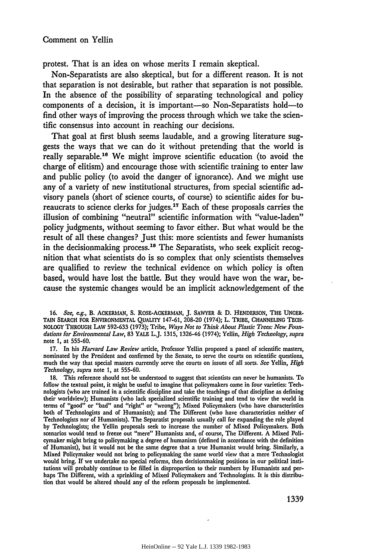protest. That is an idea on whose merits I remain skeptical.

Non-Separatists are also skeptical, but for a different reason. It is not that separation is not desirable, but rather that separation is not possible. In the absence of the possibility of separating technological and policy components of a decision, it is important-so Non-Separatists hold-to find other ways of improving the process through which we take the scientific consensus into account in reaching our decisions.

That goal at first blush seems laudable, and a growing literature suggests the ways that we can do it without pretending that the world is really separable.16 We might improve scientific education (to avoid the charge of elitism) and encourage those with scientific training to enter law and public policy (to avoid the danger of ignorance). And we might use any of a variety of new institutional structures, from special scientific advisory panels (short of science courts, of course) to scientific aides for bureaucrats to science clerks for judges. 17 Each of these proposals carries the illusion of combining "neutral" scientific information with "value-laden" policy judgments, without seeming to favor either. But what would be the result of all these changes? Just this: more scientists and fewer humanists in the decisionmaking process.<sup>18</sup> The Separatists, who seek explicit recognition that what scientists do is so complex that only scientists themselves are qualified to review the technical evidence on which policy is often based, would have lost the battle. But they would have won the war, because the systemic changes would be an implicit acknowledgement of the

**16.** *See, e.g.,* B. ACKERMAN, **S.** ROSE-ACKERMAN, **J.** SAWYER & D. HENDERSON, THE **UNCER-**TAIN SEARCH FOR ENVIRONMENTAL **QUALITY** 147-61, 208-20 (1974); L. TRIBE, CHANNELING TECH-NOLOGY THROUGH LAW 592-633 (1973); Tribe, *Ways Not to Think About Plastic Trees: New Foundations for Environmental Law,* **83** YALE L.J. **1315, 1326-46** (1974); Yellin, *High Technology, supra* note **1,** at **555-60.**

**17.** In his *Harvard Law Review* article, Professor Yellin proposed a panel of scientific masters, nominated by the President and confirmed **by** the Senate, to serve the courts on scientific questions, much the way that special masters currently serve the courts on issues of all sorts. *See* Yellin, *High Technology, supra* note **1,** at 555-60.

**18.** This reference should not be understood to suggest that scientists can never be humanists. To follow the textual point, it might be useful to imagine that policymakers come in four varieties: Technologists (who are trained in a scientific discipline and take the teachings of that discipline as defining their worldview); Humanists (who lack specialized scientific training and tend to view the world in terms of "good" or "bad" and "right" or "wrong"); Mixed Policymakers (who have characteristics both of Technologists and of Humanists); and The Different (who have characteristics neither of Technologists nor of Humanists). The Separatist proposals usually call for expanding the role played **by** Technologists; the Yellin proposals seek to increase the number of Mixed Policymakers. Both scenarios would tend to freeze out "mere" Humanists and, of course, The Different. **A** Mixed Policymaker might bring to policymaking a degree of humanism (defined in accordance with the definition of Humanist), but it would not be the same degree that a true Humanist would bring. Similarly, a Mixed Policymaker would not bring to policymaking the same world view that a mere Technologist would bring. **If** we undertake no special reforms, then decisionmaking positions in our political institutions will probably continue to be filled in disproportion to their numbers **by** Humanists and perhaps The Different, with a sprinkling of Mixed Policymakers and Technologists. It is this distribution that would be altered should any of the reform proposals be implemented.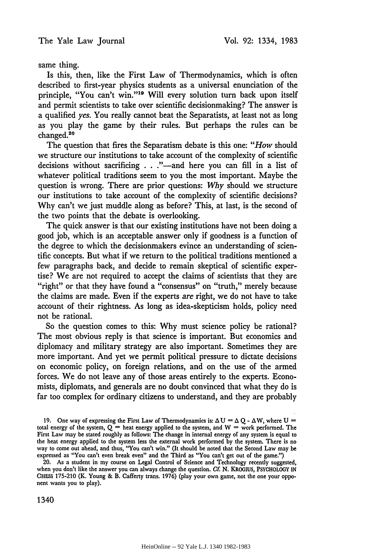same thing.

Is this, then, like the First Law of Thermodynamics, which is often described to first-year physics students as a universal enunciation of the principle, "You can't win."<sup>19</sup> Will every solution turn back upon itself and permit scientists to take over scientific decisionmaking? The answer is a qualified *yes.* You really cannot beat the Separatists, at least not as long as you play the game by their rules. But perhaps the rules can be changed.<sup>20</sup>

The question that fires the Separatism debate is this one: *"How* should we structure our institutions to take account of the complexity of scientific decisions without sacrificing . . ."—and here you can fill in a list of whatever political traditions seem to you the most important. Maybe the question is wrong. There are prior questions: *Why* should we structure our institutions to take account of the complexity of scientific decisions? Why can't we just muddle along as before? This, at last, is the second of the two points that the debate is overlooking.

The quick answer is that our existing institutions have not been doing a good job, which is an acceptable answer only if goodness is a function of the degree to which the decisionmakers evince an understanding of scientific concepts. But what if we return to the political traditions mentioned a few paragraphs back, and decide to remain skeptical of scientific expertise? We are not required to accept the claims of scientists that they are "right" or that they have found a "consensus" on "truth," merely because the claims are made. Even if the experts *are* right, we do not have to take account of their rightness. As long as idea-skepticism holds, policy need not be rational.

So the question comes to this: Why must science policy be rational? The most obvious reply is that science is important. But economics and diplomacy and military strategy are also important. Sometimes they are more important. And yet we permit political pressure to dictate decisions on economic policy, on foreign relations, and on the use of the armed forces. We do not leave any of those areas entirely to the experts. Economists, diplomats, and generals are no doubt convinced that what they do is far too complex for ordinary citizens to understand, and they are probably

20. As a student in my course on Legal Control of Science and Technology recently suggested, when you don't like the answer you can always change the question. **Cf. N.** KROGIUS, PSYCHOLOGY IN CHESS 175-210 (K. Young & B. Cafferty trans. 1976) (play your own game, not the one your opponent wants you to play).

1340

<sup>19.</sup> One way of expressing the First Law of Thermodynamics is:  $\Delta U = \Delta Q - \Delta W$ , where U total energy of the system,  $Q =$  heat energy applied to the system, and  $W =$  work performed. The First Law may be stated roughly as follows: The change in internal energy of any system is equal to the heat energy applied to the system less the external work performed by the system. There is no way to come out ahead, and thus, "You can't win." (It should be noted that the Second Law may be expressed as "You can't even break even" and the Third as "You can't get out of the game.")